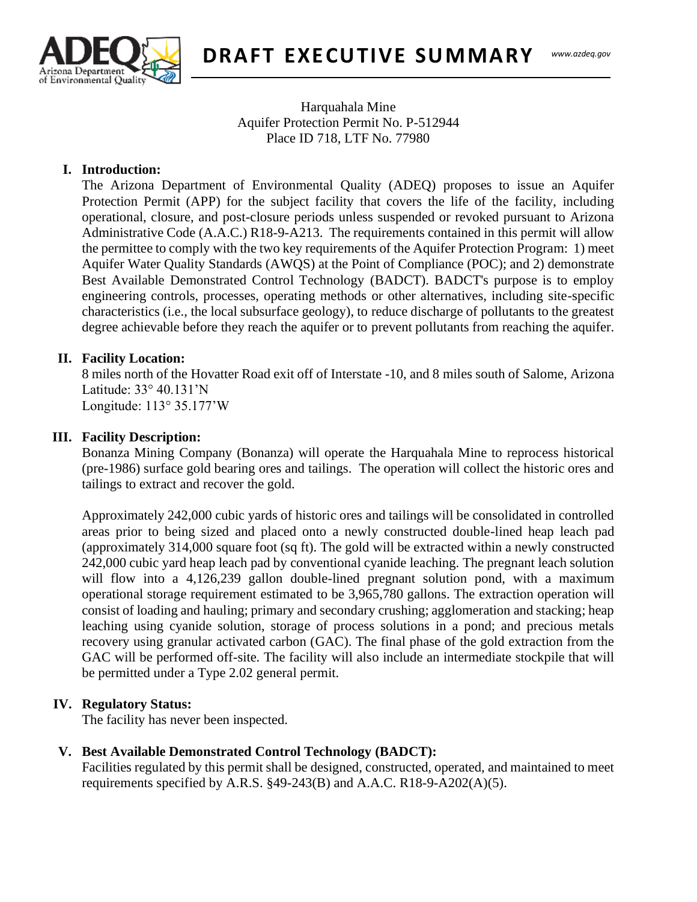

**DRAFT EXECUTIVE SUMMARY**

### Harquahala Mine Aquifer Protection Permit No. P-512944 Place ID 718, LTF No. 77980

## **I. Introduction:**

 $T_{\text{max}}$ The Arizona Department of Environmental Quality (ADEQ) proposes to issue an Aquifer Protection Permit (APP) for the subject facility that covers the life of the facility, including operational, closure, and post-closure periods unless suspended or revoked pursuant to Arizona Administrative Code (A.A.C.) R18-9-A213. The requirements contained in this permit will allow the permittee to comply with the two key requirements of the Aquifer Protection Program: 1) meet Aquifer Water Quality Standards (AWQS) at the Point of Compliance (POC); and 2) demonstrate Best Available Demonstrated Control Technology (BADCT). BADCT's purpose is to employ engineering controls, processes, operating methods or other alternatives, including site-specific characteristics (i.e., the local subsurface geology), to reduce discharge of pollutants to the greatest degree achievable before they reach the aquifer or to prevent pollutants from reaching the aquifer.

#### **II. Facility Location:**

8 miles north of the Hovatter Road exit off of Interstate -10, and 8 miles south of Salome, Arizona Latitude: 33° 40.131'N Longitude: 113° 35.177'W

#### **III. Facility Description:**

Bonanza Mining Company (Bonanza) will operate the Harquahala Mine to reprocess historical (pre-1986) surface gold bearing ores and tailings. The operation will collect the historic ores and tailings to extract and recover the gold.

Approximately 242,000 cubic yards of historic ores and tailings will be consolidated in controlled areas prior to being sized and placed onto a newly constructed double-lined heap leach pad (approximately 314,000 square foot (sq ft). The gold will be extracted within a newly constructed 242,000 cubic yard heap leach pad by conventional cyanide leaching. The pregnant leach solution will flow into a 4,126,239 gallon double-lined pregnant solution pond, with a maximum operational storage requirement estimated to be 3,965,780 gallons. The extraction operation will consist of loading and hauling; primary and secondary crushing; agglomeration and stacking; heap leaching using cyanide solution, storage of process solutions in a pond; and precious metals recovery using granular activated carbon (GAC). The final phase of the gold extraction from the GAC will be performed off-site. The facility will also include an intermediate stockpile that will be permitted under a Type 2.02 general permit.

#### **IV. Regulatory Status:**

The facility has never been inspected.

#### **V. Best Available Demonstrated Control Technology (BADCT):**

Facilities regulated by this permit shall be designed, constructed, operated, and maintained to meet requirements specified by A.R.S.  $\S$ 49-243(B) and A.A.C. R18-9-A202(A)(5).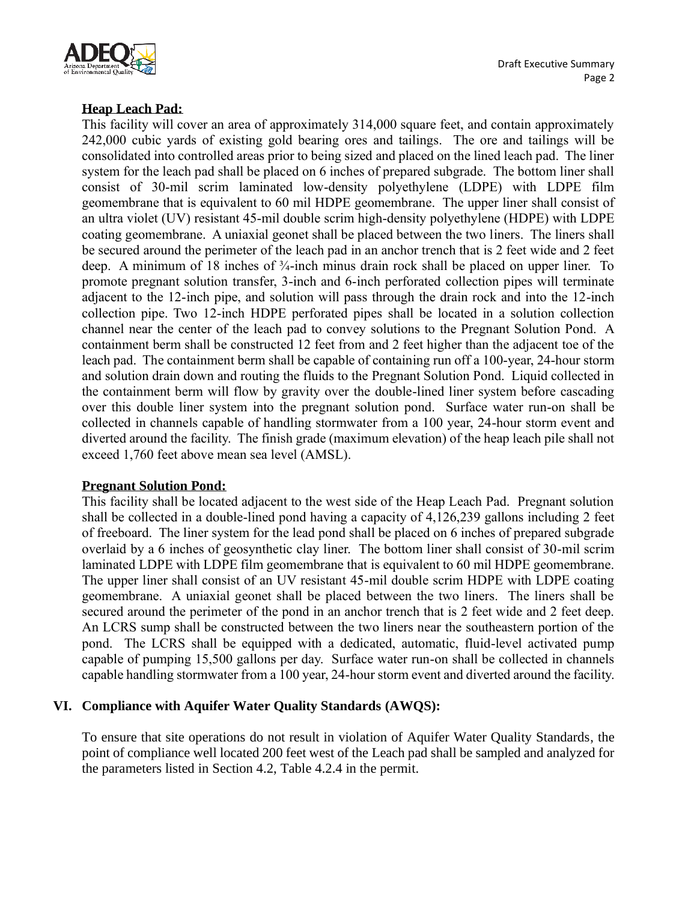

# **Heap Leach Pad:**

This facility will cover an area of approximately 314,000 square feet, and contain approximately 242,000 cubic yards of existing gold bearing ores and tailings. The ore and tailings will be consolidated into controlled areas prior to being sized and placed on the lined leach pad. The liner system for the leach pad shall be placed on 6 inches of prepared subgrade. The bottom liner shall consist of 30-mil scrim laminated low-density polyethylene (LDPE) with LDPE film geomembrane that is equivalent to 60 mil HDPE geomembrane. The upper liner shall consist of an ultra violet (UV) resistant 45-mil double scrim high-density polyethylene (HDPE) with LDPE coating geomembrane. A uniaxial geonet shall be placed between the two liners. The liners shall be secured around the perimeter of the leach pad in an anchor trench that is 2 feet wide and 2 feet deep. A minimum of 18 inches of ¾-inch minus drain rock shall be placed on upper liner. To promote pregnant solution transfer, 3-inch and 6-inch perforated collection pipes will terminate adjacent to the 12-inch pipe, and solution will pass through the drain rock and into the 12-inch collection pipe. Two 12-inch HDPE perforated pipes shall be located in a solution collection channel near the center of the leach pad to convey solutions to the Pregnant Solution Pond. A containment berm shall be constructed 12 feet from and 2 feet higher than the adjacent toe of the leach pad. The containment berm shall be capable of containing run off a 100-year, 24-hour storm and solution drain down and routing the fluids to the Pregnant Solution Pond. Liquid collected in the containment berm will flow by gravity over the double-lined liner system before cascading over this double liner system into the pregnant solution pond. Surface water run-on shall be collected in channels capable of handling stormwater from a 100 year, 24-hour storm event and diverted around the facility. The finish grade (maximum elevation) of the heap leach pile shall not exceed 1,760 feet above mean sea level (AMSL).

#### **Pregnant Solution Pond:**

This facility shall be located adjacent to the west side of the Heap Leach Pad. Pregnant solution shall be collected in a double-lined pond having a capacity of 4,126,239 gallons including 2 feet of freeboard. The liner system for the lead pond shall be placed on 6 inches of prepared subgrade overlaid by a 6 inches of geosynthetic clay liner. The bottom liner shall consist of 30-mil scrim laminated LDPE with LDPE film geomembrane that is equivalent to 60 mil HDPE geomembrane. The upper liner shall consist of an UV resistant 45-mil double scrim HDPE with LDPE coating geomembrane. A uniaxial geonet shall be placed between the two liners. The liners shall be secured around the perimeter of the pond in an anchor trench that is 2 feet wide and 2 feet deep. An LCRS sump shall be constructed between the two liners near the southeastern portion of the pond. The LCRS shall be equipped with a dedicated, automatic, fluid-level activated pump capable of pumping 15,500 gallons per day. Surface water run-on shall be collected in channels capable handling stormwater from a 100 year, 24-hour storm event and diverted around the facility.

#### **VI. Compliance with Aquifer Water Quality Standards (AWQS):**

To ensure that site operations do not result in violation of Aquifer Water Quality Standards, the point of compliance well located 200 feet west of the Leach pad shall be sampled and analyzed for the parameters listed in Section 4.2, Table 4.2.4 in the permit.